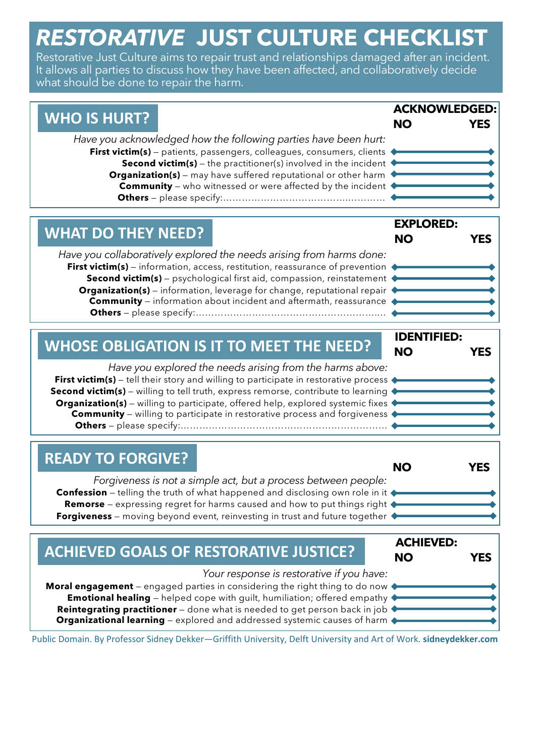# *RESTORATIVE* **JUST CULTURE CHECKLIST**

Restorative Just Culture aims to repair trust and relationships damaged after an incident. It allows all parties to discuss how they have been affected, and collaboratively decide what should be done to repair the harm.

# **WHO IS HURT?**

| <b>ACKNOWLEDGED:</b> |     |  |
|----------------------|-----|--|
| <b>NO</b>            | YES |  |
|                      |     |  |

| Have you acknowledged how the following parties have been hurt:                        |  |
|----------------------------------------------------------------------------------------|--|
| <b>First victim(s)</b> – patients, passengers, colleagues, consumers, clients <a></a>  |  |
| <b>Second victim(s)</b> – the practitioner(s) involved in the incident $\triangleleft$ |  |
| <b>Organization(s)</b> – may have suffered reputational or other harm 1                |  |
| <b>Community</b> – who witnessed or were affected by the incident 4                    |  |
|                                                                                        |  |

# **WHAT DO THEY NEED?**

*Have you collaboratively explored the needs arising from harms done:* **First victim(s)** – information, access, restitution, reassurance of prevention **Second victim(s)** — psychological first aid, compassion, reinstatement **Organization(s)** — information, leverage for change, reputational repair **Community** — information about incident and aftermath, reassurance **Others** — please specify:………………………………………………….…

| <b>EXPLORED:</b><br>NΟ | <b>YES</b> |  |
|------------------------|------------|--|
|                        |            |  |
|                        |            |  |
|                        |            |  |
|                        |            |  |
|                        |            |  |
|                        |            |  |

| <b>WHOSE OBLIGATION IS IT TO MEET THE NEED?</b>                                                    |           | <b>IDENTIFIED:</b> |
|----------------------------------------------------------------------------------------------------|-----------|--------------------|
|                                                                                                    | <b>NO</b> |                    |
| Have you explored the needs arising from the harms above:                                          |           |                    |
| First victim(s) – tell their story and willing to participate in restorative process $\triangle$   |           |                    |
| Second victim(s) - willing to tell truth, express remorse, contribute to learning                  |           |                    |
| <b>Organization(s)</b> – willing to participate, offered help, explored systemic fixes $\triangle$ |           |                    |
| <b>Community</b> – willing to participate in restorative process and forgiveness $\blacklozenge$   |           |                    |
|                                                                                                    |           |                    |

### **READY TO FORGIVE?**

*Forgiveness is not a simple act, but a process between people:* **Confession** – telling the truth of what happened and disclosing own role in it ♦ **Remorse** – expressing regret for harms caused and how to put things right  $\triangle$ **Forgiveness** — moving beyond event, reinvesting in trust and future together

**Moral engagement** — engaged parties in considering the right thing to do now **Emotional healing** – helped cope with quilt, humiliation; offered empathy  $\triangle$ **Reintegrating practitioner** – done what is needed to get person back in job **Organizational learning** — explored and addressed systemic causes of harm

Public Domain. By Professor Sidney Dekker—Griffith University, Delft University and Art of Work. **sidneydekker.com**

# *Your response is restorative if you have:* **ACHIEVED GOALS OF RESTORATIVE JUSTICE? ACHIEVED:**



**NO YES**